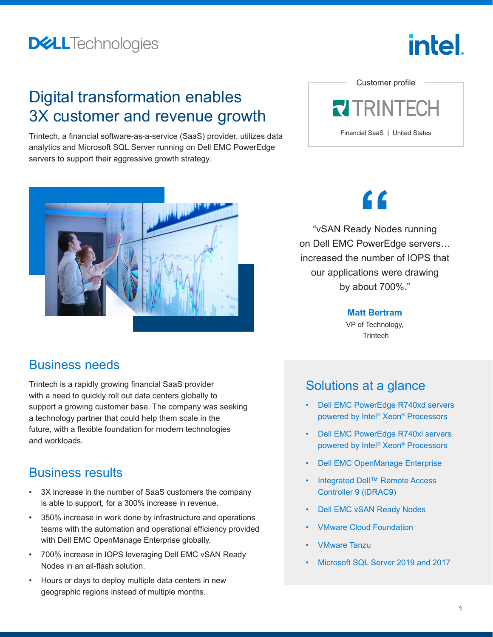### **DELL**Technologies

# intel

### Digital transformation enables 3X customer and revenue growth

Trintech, a financial software-as-a-service (SaaS) provider, utilizes data analytics and Microsoft SQL Server running on Dell EMC PowerEdge servers to support their aggressive growth strategy.





#### Business needs

Trintech is a rapidly growing financial SaaS provider with a need to quickly roll out data centers globally to support a growing customer base. The company was seeking a technology partner that could help them scale in the future, with a flexible foundation for modern technologies and workloads.

#### Business results

- 3X increase in the number of SaaS customers the company is able to support, for a 300% increase in revenue.
- 350% increase in work done by infrastructure and operations teams with the automation and operational efficiency provided with Dell EMC OpenManage Enterprise globally.
- 700% increase in IOPS leveraging Dell EMC vSAN Ready Nodes in an all-flash solution.
- Hours or days to deploy multiple data centers in new geographic regions instead of multiple months.

# **"**

"vSAN Ready Nodes running on Dell EMC PowerEdge servers… increased the number of IOPS that our applications were drawing by about 700%."

**Matt Bertram**

VP of Technology, **Trintech** 

### Solutions at a glance

- [Dell EMC PowerEdge R740xd servers](http://www.delltechnologies.com/servers)  [powered by Intel® Xeon® Processors](http://www.delltechnologies.com/servers)
- [Dell EMC PowerEdge R740xl servers](http://www.delltechnologies.com/servers)  [powered by Intel® Xeon® Processors](http://www.delltechnologies.com/servers)
- [Dell EMC OpenManage Enterprise](https://www.delltechnologies.com/en-us/solutions/openmanage/index.htm?gacd=9650523-1033-5761040-266691960-0&dgc=st&gclid=EAIaIQobChMI-aOdv8P57wIVBrLICh0-pwksEAAYASAAEgLczPD_BwE&gclsrc=aw.ds#scroll=off?)
- [Integrated Dell™ Remote Access](https://www.delltechnologies.com/en-us/solutions/openmanage/idrac.htm)  [Controller 9 \(iDRAC9\)](https://www.delltechnologies.com/en-us/solutions/openmanage/idrac.htm)
- [Dell EMC vSAN Ready Nodes](https://www.delltechnologies.com/en-us/converged-infrastructure/hyper-converged-infrastructure/vsan-ready-nodes.htm#scroll=off)
- [VMware Cloud Foundation](https://www.vmware.com/products/cloud-foundation.html)
- [VMware Tanzu](https://tanzu.vmware.com/tanzu?utm_source=google&utm_medium=cpc&utm_campaign=amer_c1_b&utm_content=g2_t023&utm_term=vmware%20tanzu&_bt=473987194529&_bk=vmware%20tanzu&_bm=e&_bn=g&_bg=112035911176&gclid=CjwKCAiAu8SABhAxEiwAsodSZJGMTeOA6PTq-FbGRoO4zZ4fCKc44e3r0S8yBdlQqOiCDxmoulq3iBoCLuIQAvD_BwE)
- [Microsoft SQL Server 2019 and 2017](https://www.delltechnologies.com/en-us/solutions/sql/ready-solutions-for-sql.htm#accordion0)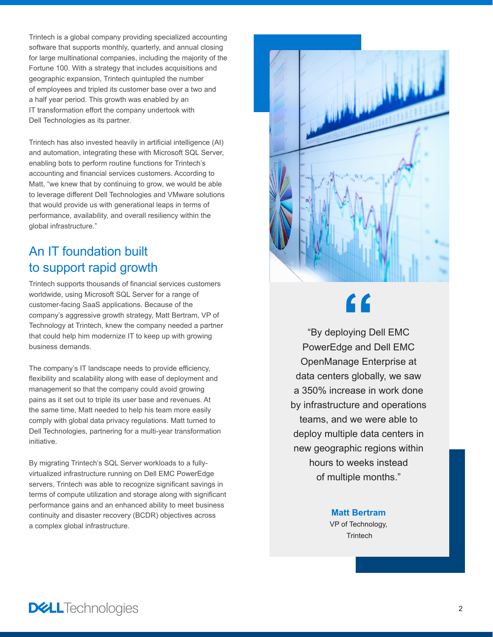Trintech is a global company providing specialized accounting software that supports monthly, quarterly, and annual closing for large multinational companies, including the majority of the Fortune 100. With a strategy that includes acquisitions and geographic expansion, Trintech quintupled the number of employees and tripled its customer base over a two and a half year period. This growth was enabled by an IT transformation effort the company undertook with Dell Technologies as its partner.

Trintech has also invested heavily in artificial intelligence (AI) and automation, integrating these with Microsoft SQL Server, enabling bots to perform routine functions for Trintech's accounting and financial services customers. According to Matt, "we knew that by continuing to grow, we would be able to leverage different Dell Technologies and VMware solutions that would provide us with generational leaps in terms of performance, availability, and overall resiliency within the global infrastructure."

#### An IT foundation built to support rapid growth

Trintech supports thousands of financial services customers worldwide, using Microsoft SQL Server for a range of customer-facing SaaS applications. Because of the company's aggressive growth strategy, Matt Bertram, VP of Technology at Trintech, knew the company needed a partner that could help him modernize IT to keep up with growing business demands.

The company's IT landscape needs to provide efficiency, flexibility and scalability along with ease of deployment and management so that the company could avoid growing pains as it set out to triple its user base and revenues. At the same time, Matt needed to help his team more easily comply with global data privacy regulations. Matt turned to Dell Technologies, partnering for a multi-year transformation initiative.

By migrating Trintech's SQL Server workloads to a fullyvirtualized infrastructure running on Dell EMC PowerEdge servers, Trintech was able to recognize significant savings in terms of compute utilization and storage along with significant performance gains and an enhanced ability to meet business continuity and disaster recovery (BCDR) objectives across a complex global infrastructure.



# **"**

"By deploying Dell EMC PowerEdge and Dell EMC OpenManage Enterprise at data centers globally, we saw a 350% increase in work done by infrastructure and operations teams, and we were able to deploy multiple data centers in new geographic regions within hours to weeks instead of multiple months."

> **Matt Bertram** VP of Technology, **Trintech**